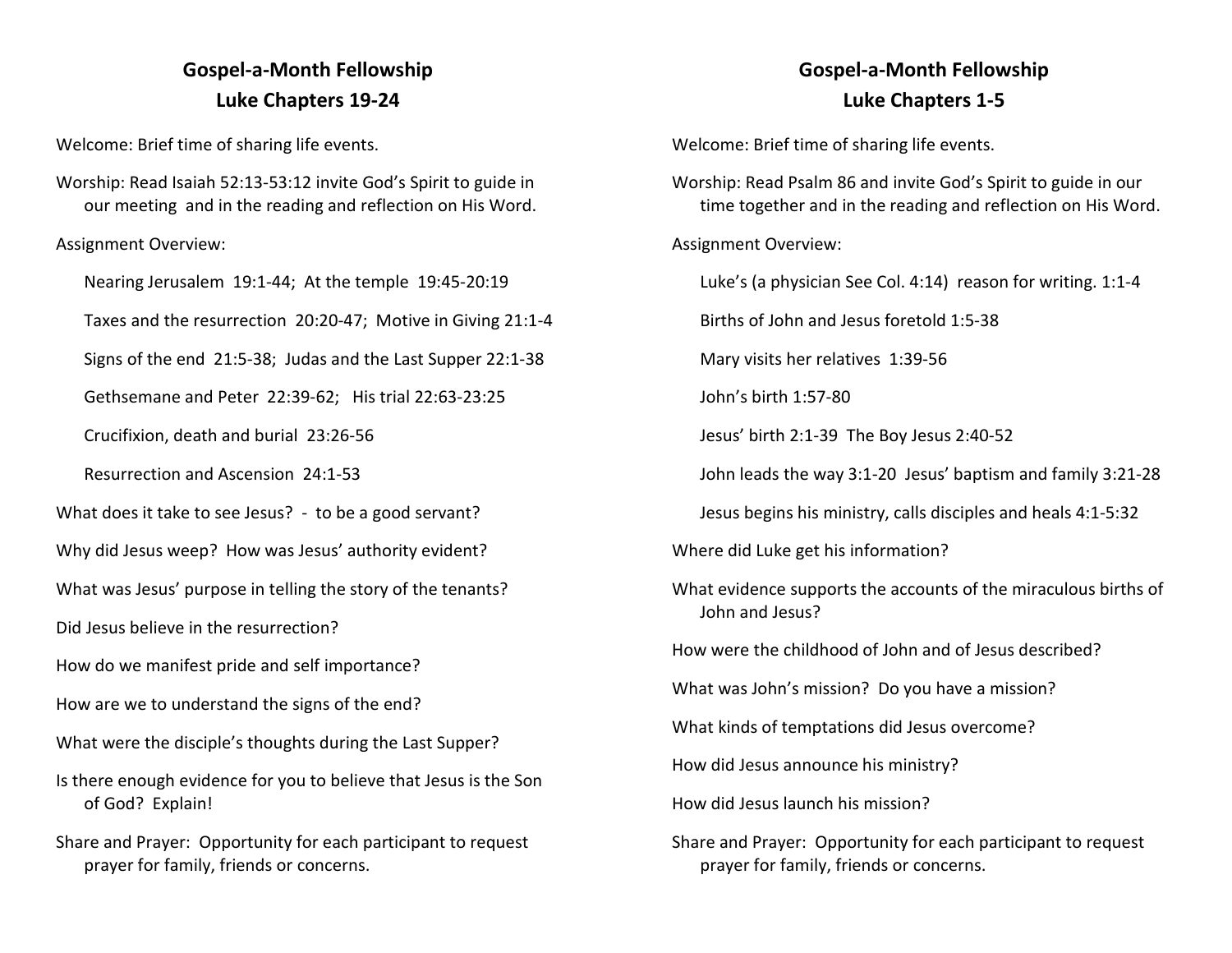## **Gospel-a-Month Fellowship Luke Chapters 19-24**

Welcome: Brief time of sharing life events.

Worship: Read Isaiah 52:13-53:12 invite God's Spirit to guide in our meeting and in the reading and reflection on His Word.

Assignment Overview:

Nearing Jerusalem 19:1-44; At the temple 19:45-20:19

Taxes and the resurrection 20:20-47; Motive in Giving 21:1-4

Signs of the end 21:5-38; Judas and the Last Supper 22:1-38

Gethsemane and Peter 22:39-62; His trial 22:63-23:25

Crucifixion, death and burial 23:26-56

Resurrection and Ascension 24:1-53

What does it take to see Jesus? - to be a good servant?

Why did Jesus weep? How was Jesus' authority evident?

What was Jesus' purpose in telling the story of the tenants?

Did Jesus believe in the resurrection?

How do we manifest pride and self importance?

How are we to understand the signs of the end?

- What were the disciple's thoughts during the Last Supper?
- Is there enough evidence for you to believe that Jesus is the Son of God? Explain!
- Share and Prayer: Opportunity for each participant to request prayer for family, friends or concerns.

## **Gospel-a-Month Fellowship Luke Chapters 1-5**

Welcome: Brief time of sharing life events.

Worship: Read Psalm 86 and invite God's Spirit to guide in our time together and in the reading and reflection on His Word.

Assignment Overview:

Luke's (a physician See Col. 4:14) reason for writing. 1:1-4

Births of John and Jesus foretold 1:5-38

Mary visits her relatives 1:39-56

John's birth 1:57-80

Jesus' birth 2:1-39 The Boy Jesus 2:40-52

John leads the way 3:1-20 Jesus' baptism and family 3:21-28

Jesus begins his ministry, calls disciples and heals 4:1-5:32

Where did Luke get his information?

What evidence supports the accounts of the miraculous births of John and Jesus?

How were the childhood of John and of Jesus described?

What was John's mission? Do you have a mission?

What kinds of temptations did Jesus overcome?

How did Jesus announce his ministry?

How did Jesus launch his mission?

Share and Prayer: Opportunity for each participant to request prayer for family, friends or concerns.